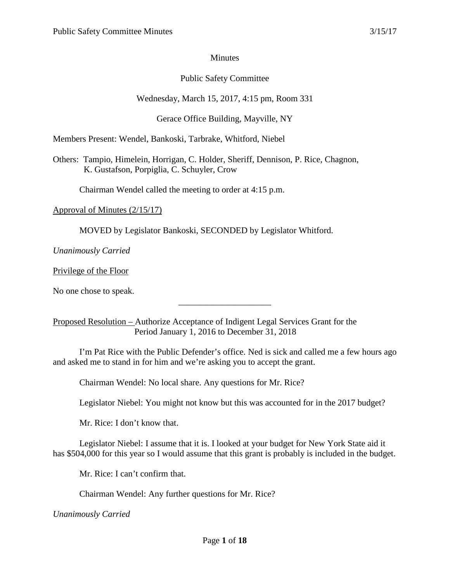### **Minutes**

# Public Safety Committee

# Wednesday, March 15, 2017, 4:15 pm, Room 331

# Gerace Office Building, Mayville, NY

Members Present: Wendel, Bankoski, Tarbrake, Whitford, Niebel

Others: Tampio, Himelein, Horrigan, C. Holder, Sheriff, Dennison, P. Rice, Chagnon, K. Gustafson, Porpiglia, C. Schuyler, Crow

Chairman Wendel called the meeting to order at 4:15 p.m.

Approval of Minutes (2/15/17)

MOVED by Legislator Bankoski, SECONDED by Legislator Whitford.

*Unanimously Carried*

Privilege of the Floor

No one chose to speak.

Proposed Resolution – Authorize Acceptance of Indigent Legal Services Grant for the Period January 1, 2016 to December 31, 2018

I'm Pat Rice with the Public Defender's office. Ned is sick and called me a few hours ago and asked me to stand in for him and we're asking you to accept the grant.

\_\_\_\_\_\_\_\_\_\_\_\_\_\_\_\_\_\_\_\_\_

Chairman Wendel: No local share. Any questions for Mr. Rice?

Legislator Niebel: You might not know but this was accounted for in the 2017 budget?

Mr. Rice: I don't know that.

Legislator Niebel: I assume that it is. I looked at your budget for New York State aid it has \$504,000 for this year so I would assume that this grant is probably is included in the budget.

Mr. Rice: I can't confirm that.

Chairman Wendel: Any further questions for Mr. Rice?

*Unanimously Carried*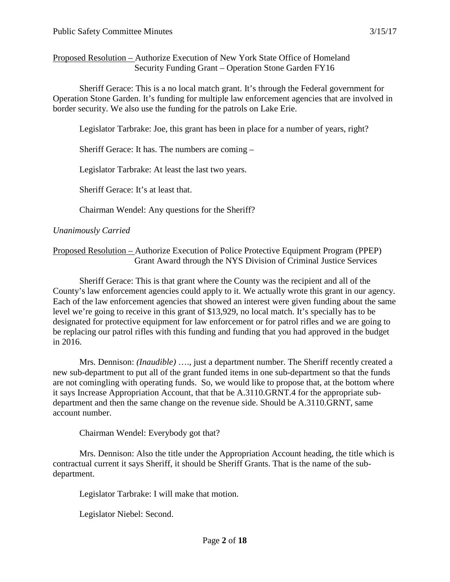## Proposed Resolution – Authorize Execution of New York State Office of Homeland Security Funding Grant – Operation Stone Garden FY16

Sheriff Gerace: This is a no local match grant. It's through the Federal government for Operation Stone Garden. It's funding for multiple law enforcement agencies that are involved in border security. We also use the funding for the patrols on Lake Erie.

Legislator Tarbrake: Joe, this grant has been in place for a number of years, right?

Sheriff Gerace: It has. The numbers are coming –

Legislator Tarbrake: At least the last two years.

Sheriff Gerace: It's at least that.

Chairman Wendel: Any questions for the Sheriff?

# *Unanimously Carried*

# Proposed Resolution – Authorize Execution of Police Protective Equipment Program (PPEP) Grant Award through the NYS Division of Criminal Justice Services

Sheriff Gerace: This is that grant where the County was the recipient and all of the County's law enforcement agencies could apply to it. We actually wrote this grant in our agency. Each of the law enforcement agencies that showed an interest were given funding about the same level we're going to receive in this grant of \$13,929, no local match. It's specially has to be designated for protective equipment for law enforcement or for patrol rifles and we are going to be replacing our patrol rifles with this funding and funding that you had approved in the budget in 2016.

Mrs. Dennison: *(Inaudible)* …., just a department number. The Sheriff recently created a new sub-department to put all of the grant funded items in one sub-department so that the funds are not comingling with operating funds. So, we would like to propose that, at the bottom where it says Increase Appropriation Account, that that be A.3110.GRNT.4 for the appropriate subdepartment and then the same change on the revenue side. Should be A.3110.GRNT, same account number.

Chairman Wendel: Everybody got that?

Mrs. Dennison: Also the title under the Appropriation Account heading, the title which is contractual current it says Sheriff, it should be Sheriff Grants. That is the name of the subdepartment.

Legislator Tarbrake: I will make that motion.

Legislator Niebel: Second.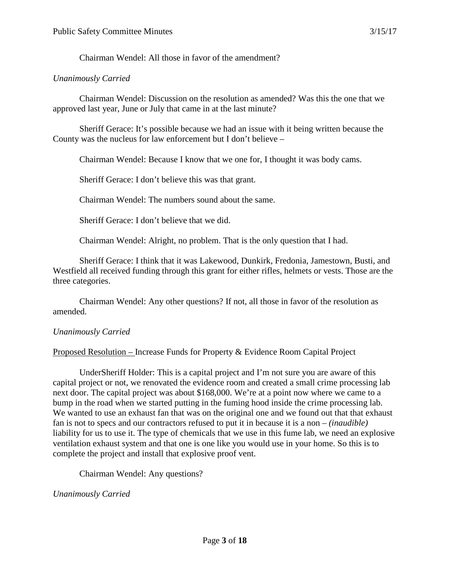Chairman Wendel: All those in favor of the amendment?

### *Unanimously Carried*

Chairman Wendel: Discussion on the resolution as amended? Was this the one that we approved last year, June or July that came in at the last minute?

Sheriff Gerace: It's possible because we had an issue with it being written because the County was the nucleus for law enforcement but I don't believe –

Chairman Wendel: Because I know that we one for, I thought it was body cams.

Sheriff Gerace: I don't believe this was that grant.

Chairman Wendel: The numbers sound about the same.

Sheriff Gerace: I don't believe that we did.

Chairman Wendel: Alright, no problem. That is the only question that I had.

Sheriff Gerace: I think that it was Lakewood, Dunkirk, Fredonia, Jamestown, Busti, and Westfield all received funding through this grant for either rifles, helmets or vests. Those are the three categories.

Chairman Wendel: Any other questions? If not, all those in favor of the resolution as amended.

#### *Unanimously Carried*

Proposed Resolution – Increase Funds for Property & Evidence Room Capital Project

UnderSheriff Holder: This is a capital project and I'm not sure you are aware of this capital project or not, we renovated the evidence room and created a small crime processing lab next door. The capital project was about \$168,000. We're at a point now where we came to a bump in the road when we started putting in the fuming hood inside the crime processing lab. We wanted to use an exhaust fan that was on the original one and we found out that that exhaust fan is not to specs and our contractors refused to put it in because it is a non – *(inaudible)* liability for us to use it. The type of chemicals that we use in this fume lab, we need an explosive ventilation exhaust system and that one is one like you would use in your home. So this is to complete the project and install that explosive proof vent.

Chairman Wendel: Any questions?

*Unanimously Carried*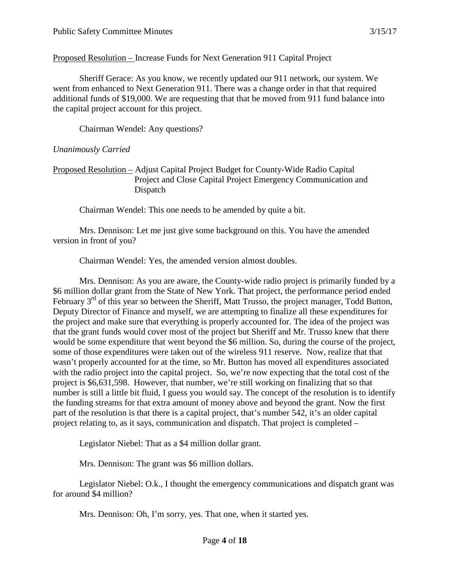Proposed Resolution – Increase Funds for Next Generation 911 Capital Project

Sheriff Gerace: As you know, we recently updated our 911 network, our system. We went from enhanced to Next Generation 911. There was a change order in that that required additional funds of \$19,000. We are requesting that that be moved from 911 fund balance into the capital project account for this project.

Chairman Wendel: Any questions?

### *Unanimously Carried*

### Proposed Resolution – Adjust Capital Project Budget for County-Wide Radio Capital Project and Close Capital Project Emergency Communication and Dispatch

Chairman Wendel: This one needs to be amended by quite a bit.

Mrs. Dennison: Let me just give some background on this. You have the amended version in front of you?

Chairman Wendel: Yes, the amended version almost doubles.

Mrs. Dennison: As you are aware, the County-wide radio project is primarily funded by a \$6 million dollar grant from the State of New York. That project, the performance period ended February 3<sup>rd</sup> of this year so between the Sheriff, Matt Trusso, the project manager, Todd Button, Deputy Director of Finance and myself, we are attempting to finalize all these expenditures for the project and make sure that everything is properly accounted for. The idea of the project was that the grant funds would cover most of the project but Sheriff and Mr. Trusso knew that there would be some expenditure that went beyond the \$6 million. So, during the course of the project, some of those expenditures were taken out of the wireless 911 reserve. Now, realize that that wasn't properly accounted for at the time, so Mr. Button has moved all expenditures associated with the radio project into the capital project. So, we're now expecting that the total cost of the project is \$6,631,598. However, that number, we're still working on finalizing that so that number is still a little bit fluid, I guess you would say. The concept of the resolution is to identify the funding streams for that extra amount of money above and beyond the grant. Now the first part of the resolution is that there is a capital project, that's number 542, it's an older capital project relating to, as it says, communication and dispatch. That project is completed –

Legislator Niebel: That as a \$4 million dollar grant.

Mrs. Dennison: The grant was \$6 million dollars.

Legislator Niebel: O.k., I thought the emergency communications and dispatch grant was for around \$4 million?

Mrs. Dennison: Oh, I'm sorry, yes. That one, when it started yes.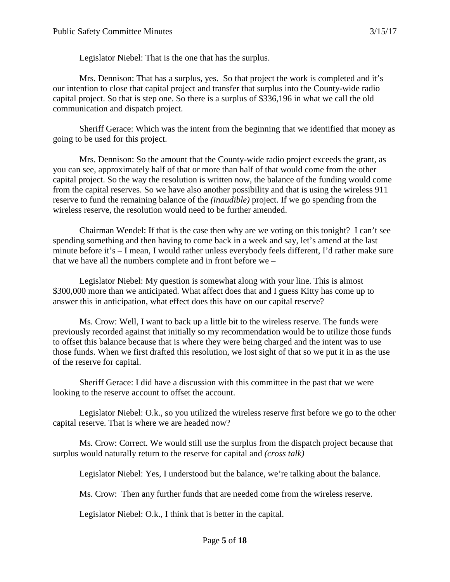Legislator Niebel: That is the one that has the surplus.

Mrs. Dennison: That has a surplus, yes. So that project the work is completed and it's our intention to close that capital project and transfer that surplus into the County-wide radio capital project. So that is step one. So there is a surplus of \$336,196 in what we call the old communication and dispatch project.

Sheriff Gerace: Which was the intent from the beginning that we identified that money as going to be used for this project.

Mrs. Dennison: So the amount that the County-wide radio project exceeds the grant, as you can see, approximately half of that or more than half of that would come from the other capital project. So the way the resolution is written now, the balance of the funding would come from the capital reserves. So we have also another possibility and that is using the wireless 911 reserve to fund the remaining balance of the *(inaudible)* project. If we go spending from the wireless reserve, the resolution would need to be further amended.

Chairman Wendel: If that is the case then why are we voting on this tonight? I can't see spending something and then having to come back in a week and say, let's amend at the last minute before it's – I mean, I would rather unless everybody feels different, I'd rather make sure that we have all the numbers complete and in front before we –

Legislator Niebel: My question is somewhat along with your line. This is almost \$300,000 more than we anticipated. What affect does that and I guess Kitty has come up to answer this in anticipation, what effect does this have on our capital reserve?

Ms. Crow: Well, I want to back up a little bit to the wireless reserve. The funds were previously recorded against that initially so my recommendation would be to utilize those funds to offset this balance because that is where they were being charged and the intent was to use those funds. When we first drafted this resolution, we lost sight of that so we put it in as the use of the reserve for capital.

Sheriff Gerace: I did have a discussion with this committee in the past that we were looking to the reserve account to offset the account.

Legislator Niebel: O.k., so you utilized the wireless reserve first before we go to the other capital reserve. That is where we are headed now?

Ms. Crow: Correct. We would still use the surplus from the dispatch project because that surplus would naturally return to the reserve for capital and *(cross talk)*

Legislator Niebel: Yes, I understood but the balance, we're talking about the balance.

Ms. Crow: Then any further funds that are needed come from the wireless reserve.

Legislator Niebel: O.k., I think that is better in the capital.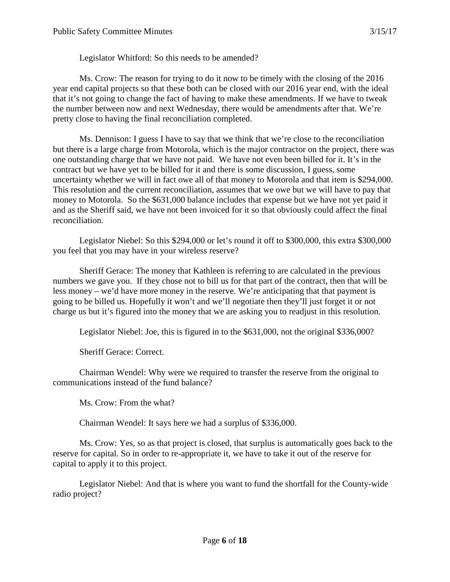Legislator Whitford: So this needs to be amended?

Ms. Crow: The reason for trying to do it now to be timely with the closing of the 2016 year end capital projects so that these both can be closed with our 2016 year end, with the ideal that it's not going to change the fact of having to make these amendments. If we have to tweak the number between now and next Wednesday, there would be amendments after that. We're pretty close to having the final reconciliation completed.

Ms. Dennison: I guess I have to say that we think that we're close to the reconciliation but there is a large charge from Motorola, which is the major contractor on the project, there was one outstanding charge that we have not paid. We have not even been billed for it. It's in the contract but we have yet to be billed for it and there is some discussion, I guess, some uncertainty whether we will in fact owe all of that money to Motorola and that item is \$294,000. This resolution and the current reconciliation, assumes that we owe but we will have to pay that money to Motorola. So the \$631,000 balance includes that expense but we have not yet paid it and as the Sheriff said, we have not been invoiced for it so that obviously could affect the final reconciliation.

Legislator Niebel: So this \$294,000 or let's round it off to \$300,000, this extra \$300,000 you feel that you may have in your wireless reserve?

Sheriff Gerace: The money that Kathleen is referring to are calculated in the previous numbers we gave you. If they chose not to bill us for that part of the contract, then that will be less money – we'd have more money in the reserve. We're anticipating that that payment is going to be billed us. Hopefully it won't and we'll negotiate then they'll just forget it or not charge us but it's figured into the money that we are asking you to readjust in this resolution.

Legislator Niebel: Joe, this is figured in to the \$631,000, not the original \$336,000?

Sheriff Gerace: Correct.

Chairman Wendel: Why were we required to transfer the reserve from the original to communications instead of the fund balance?

Ms. Crow: From the what?

Chairman Wendel: It says here we had a surplus of \$336,000.

Ms. Crow: Yes, so as that project is closed, that surplus is automatically goes back to the reserve for capital. So in order to re-appropriate it, we have to take it out of the reserve for capital to apply it to this project.

Legislator Niebel: And that is where you want to fund the shortfall for the County-wide radio project?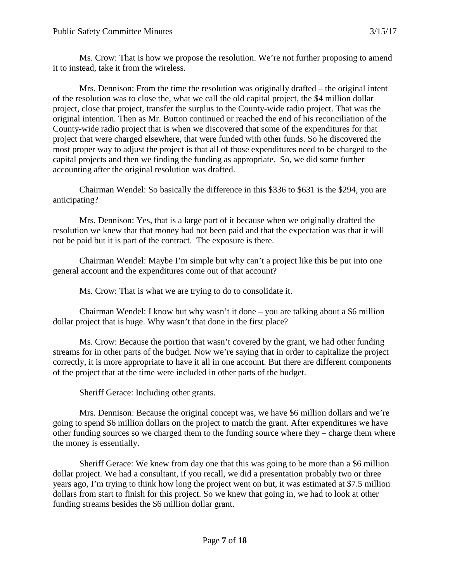Ms. Crow: That is how we propose the resolution. We're not further proposing to amend it to instead, take it from the wireless.

Mrs. Dennison: From the time the resolution was originally drafted – the original intent of the resolution was to close the, what we call the old capital project, the \$4 million dollar project, close that project, transfer the surplus to the County-wide radio project. That was the original intention. Then as Mr. Button continued or reached the end of his reconciliation of the County-wide radio project that is when we discovered that some of the expenditures for that project that were charged elsewhere, that were funded with other funds. So he discovered the most proper way to adjust the project is that all of those expenditures need to be charged to the capital projects and then we finding the funding as appropriate. So, we did some further accounting after the original resolution was drafted.

Chairman Wendel: So basically the difference in this \$336 to \$631 is the \$294, you are anticipating?

Mrs. Dennison: Yes, that is a large part of it because when we originally drafted the resolution we knew that that money had not been paid and that the expectation was that it will not be paid but it is part of the contract. The exposure is there.

Chairman Wendel: Maybe I'm simple but why can't a project like this be put into one general account and the expenditures come out of that account?

Ms. Crow: That is what we are trying to do to consolidate it.

Chairman Wendel: I know but why wasn't it done – you are talking about a \$6 million dollar project that is huge. Why wasn't that done in the first place?

Ms. Crow: Because the portion that wasn't covered by the grant, we had other funding streams for in other parts of the budget. Now we're saying that in order to capitalize the project correctly, it is more appropriate to have it all in one account. But there are different components of the project that at the time were included in other parts of the budget.

Sheriff Gerace: Including other grants.

Mrs. Dennison: Because the original concept was, we have \$6 million dollars and we're going to spend \$6 million dollars on the project to match the grant. After expenditures we have other funding sources so we charged them to the funding source where they – charge them where the money is essentially.

Sheriff Gerace: We knew from day one that this was going to be more than a \$6 million dollar project. We had a consultant, if you recall, we did a presentation probably two or three years ago, I'm trying to think how long the project went on but, it was estimated at \$7.5 million dollars from start to finish for this project. So we knew that going in, we had to look at other funding streams besides the \$6 million dollar grant.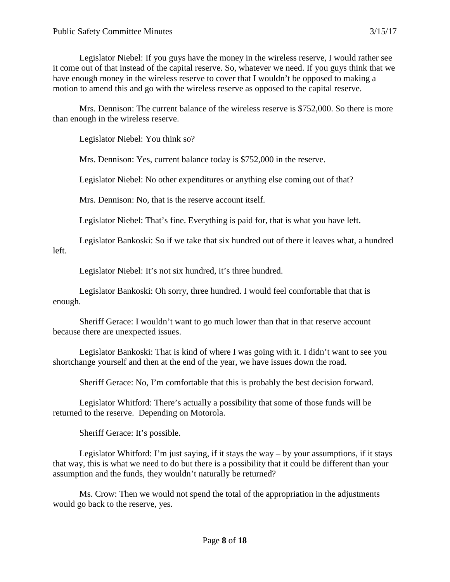Legislator Niebel: If you guys have the money in the wireless reserve, I would rather see it come out of that instead of the capital reserve. So, whatever we need. If you guys think that we have enough money in the wireless reserve to cover that I wouldn't be opposed to making a motion to amend this and go with the wireless reserve as opposed to the capital reserve.

Mrs. Dennison: The current balance of the wireless reserve is \$752,000. So there is more than enough in the wireless reserve.

Legislator Niebel: You think so?

Mrs. Dennison: Yes, current balance today is \$752,000 in the reserve.

Legislator Niebel: No other expenditures or anything else coming out of that?

Mrs. Dennison: No, that is the reserve account itself.

Legislator Niebel: That's fine. Everything is paid for, that is what you have left.

Legislator Bankoski: So if we take that six hundred out of there it leaves what, a hundred left.

Legislator Niebel: It's not six hundred, it's three hundred.

Legislator Bankoski: Oh sorry, three hundred. I would feel comfortable that that is enough.

Sheriff Gerace: I wouldn't want to go much lower than that in that reserve account because there are unexpected issues.

Legislator Bankoski: That is kind of where I was going with it. I didn't want to see you shortchange yourself and then at the end of the year, we have issues down the road.

Sheriff Gerace: No, I'm comfortable that this is probably the best decision forward.

Legislator Whitford: There's actually a possibility that some of those funds will be returned to the reserve. Depending on Motorola.

Sheriff Gerace: It's possible.

Legislator Whitford: I'm just saying, if it stays the way – by your assumptions, if it stays that way, this is what we need to do but there is a possibility that it could be different than your assumption and the funds, they wouldn't naturally be returned?

Ms. Crow: Then we would not spend the total of the appropriation in the adjustments would go back to the reserve, yes.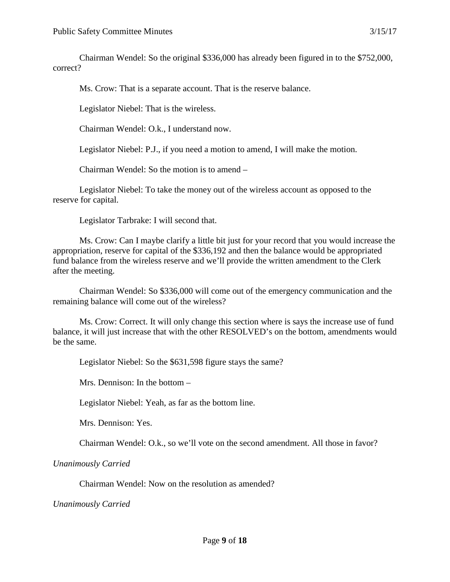Chairman Wendel: So the original \$336,000 has already been figured in to the \$752,000, correct?

Ms. Crow: That is a separate account. That is the reserve balance.

Legislator Niebel: That is the wireless.

Chairman Wendel: O.k., I understand now.

Legislator Niebel: P.J., if you need a motion to amend, I will make the motion.

Chairman Wendel: So the motion is to amend –

Legislator Niebel: To take the money out of the wireless account as opposed to the reserve for capital.

Legislator Tarbrake: I will second that.

Ms. Crow: Can I maybe clarify a little bit just for your record that you would increase the appropriation, reserve for capital of the \$336,192 and then the balance would be appropriated fund balance from the wireless reserve and we'll provide the written amendment to the Clerk after the meeting.

Chairman Wendel: So \$336,000 will come out of the emergency communication and the remaining balance will come out of the wireless?

Ms. Crow: Correct. It will only change this section where is says the increase use of fund balance, it will just increase that with the other RESOLVED's on the bottom, amendments would be the same.

Legislator Niebel: So the \$631,598 figure stays the same?

Mrs. Dennison: In the bottom –

Legislator Niebel: Yeah, as far as the bottom line.

Mrs. Dennison: Yes.

Chairman Wendel: O.k., so we'll vote on the second amendment. All those in favor?

*Unanimously Carried*

Chairman Wendel: Now on the resolution as amended?

*Unanimously Carried*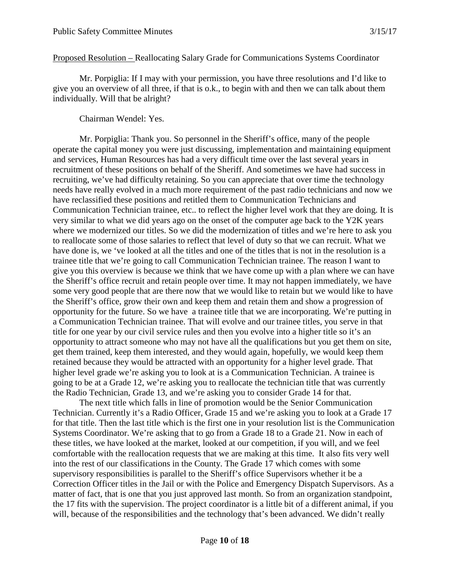Proposed Resolution – Reallocating Salary Grade for Communications Systems Coordinator

Mr. Porpiglia: If I may with your permission, you have three resolutions and I'd like to give you an overview of all three, if that is o.k., to begin with and then we can talk about them individually. Will that be alright?

Chairman Wendel: Yes.

Mr. Porpiglia: Thank you. So personnel in the Sheriff's office, many of the people operate the capital money you were just discussing, implementation and maintaining equipment and services, Human Resources has had a very difficult time over the last several years in recruitment of these positions on behalf of the Sheriff. And sometimes we have had success in recruiting, we've had difficulty retaining. So you can appreciate that over time the technology needs have really evolved in a much more requirement of the past radio technicians and now we have reclassified these positions and retitled them to Communication Technicians and Communication Technician trainee, etc.. to reflect the higher level work that they are doing. It is very similar to what we did years ago on the onset of the computer age back to the Y2K years where we modernized our titles. So we did the modernization of titles and we're here to ask you to reallocate some of those salaries to reflect that level of duty so that we can recruit. What we have done is, we 've looked at all the titles and one of the titles that is not in the resolution is a trainee title that we're going to call Communication Technician trainee. The reason I want to give you this overview is because we think that we have come up with a plan where we can have the Sheriff's office recruit and retain people over time. It may not happen immediately, we have some very good people that are there now that we would like to retain but we would like to have the Sheriff's office, grow their own and keep them and retain them and show a progression of opportunity for the future. So we have a trainee title that we are incorporating. We're putting in a Communication Technician trainee. That will evolve and our trainee titles, you serve in that title for one year by our civil service rules and then you evolve into a higher title so it's an opportunity to attract someone who may not have all the qualifications but you get them on site, get them trained, keep them interested, and they would again, hopefully, we would keep them retained because they would be attracted with an opportunity for a higher level grade. That higher level grade we're asking you to look at is a Communication Technician. A trainee is going to be at a Grade 12, we're asking you to reallocate the technician title that was currently the Radio Technician, Grade 13, and we're asking you to consider Grade 14 for that.

The next title which falls in line of promotion would be the Senior Communication Technician. Currently it's a Radio Officer, Grade 15 and we're asking you to look at a Grade 17 for that title. Then the last title which is the first one in your resolution list is the Communication Systems Coordinator. We're asking that to go from a Grade 18 to a Grade 21. Now in each of these titles, we have looked at the market, looked at our competition, if you will, and we feel comfortable with the reallocation requests that we are making at this time. It also fits very well into the rest of our classifications in the County. The Grade 17 which comes with some supervisory responsibilities is parallel to the Sheriff's office Supervisors whether it be a Correction Officer titles in the Jail or with the Police and Emergency Dispatch Supervisors. As a matter of fact, that is one that you just approved last month. So from an organization standpoint, the 17 fits with the supervision. The project coordinator is a little bit of a different animal, if you will, because of the responsibilities and the technology that's been advanced. We didn't really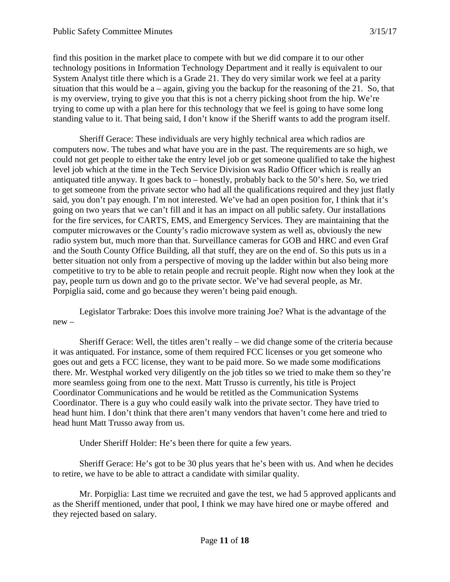find this position in the market place to compete with but we did compare it to our other technology positions in Information Technology Department and it really is equivalent to our System Analyst title there which is a Grade 21. They do very similar work we feel at a parity situation that this would be  $a - a$  gain, giving you the backup for the reasoning of the 21. So, that is my overview, trying to give you that this is not a cherry picking shoot from the hip. We're trying to come up with a plan here for this technology that we feel is going to have some long standing value to it. That being said, I don't know if the Sheriff wants to add the program itself.

Sheriff Gerace: These individuals are very highly technical area which radios are computers now. The tubes and what have you are in the past. The requirements are so high, we could not get people to either take the entry level job or get someone qualified to take the highest level job which at the time in the Tech Service Division was Radio Officer which is really an antiquated title anyway. It goes back to – honestly, probably back to the 50's here. So, we tried to get someone from the private sector who had all the qualifications required and they just flatly said, you don't pay enough. I'm not interested. We've had an open position for, I think that it's going on two years that we can't fill and it has an impact on all public safety. Our installations for the fire services, for CARTS, EMS, and Emergency Services. They are maintaining that the computer microwaves or the County's radio microwave system as well as, obviously the new radio system but, much more than that. Surveillance cameras for GOB and HRC and even Graf and the South County Office Building, all that stuff, they are on the end of. So this puts us in a better situation not only from a perspective of moving up the ladder within but also being more competitive to try to be able to retain people and recruit people. Right now when they look at the pay, people turn us down and go to the private sector. We've had several people, as Mr. Porpiglia said, come and go because they weren't being paid enough.

Legislator Tarbrake: Does this involve more training Joe? What is the advantage of the new –

Sheriff Gerace: Well, the titles aren't really – we did change some of the criteria because it was antiquated. For instance, some of them required FCC licenses or you get someone who goes out and gets a FCC license, they want to be paid more. So we made some modifications there. Mr. Westphal worked very diligently on the job titles so we tried to make them so they're more seamless going from one to the next. Matt Trusso is currently, his title is Project Coordinator Communications and he would be retitled as the Communication Systems Coordinator. There is a guy who could easily walk into the private sector. They have tried to head hunt him. I don't think that there aren't many vendors that haven't come here and tried to head hunt Matt Trusso away from us.

Under Sheriff Holder: He's been there for quite a few years.

Sheriff Gerace: He's got to be 30 plus years that he's been with us. And when he decides to retire, we have to be able to attract a candidate with similar quality.

Mr. Porpiglia: Last time we recruited and gave the test, we had 5 approved applicants and as the Sheriff mentioned, under that pool, I think we may have hired one or maybe offered and they rejected based on salary.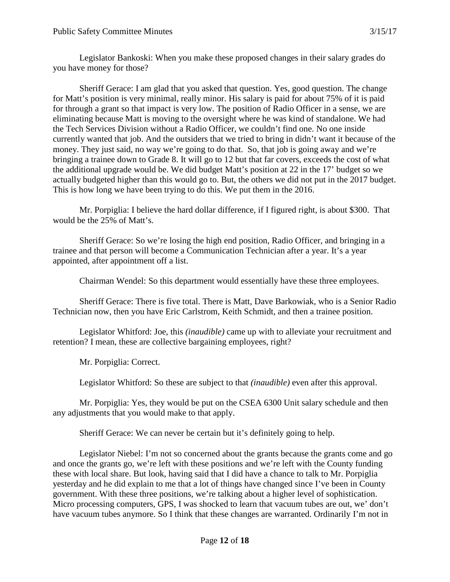Legislator Bankoski: When you make these proposed changes in their salary grades do you have money for those?

Sheriff Gerace: I am glad that you asked that question. Yes, good question. The change for Matt's position is very minimal, really minor. His salary is paid for about 75% of it is paid for through a grant so that impact is very low. The position of Radio Officer in a sense, we are eliminating because Matt is moving to the oversight where he was kind of standalone. We had the Tech Services Division without a Radio Officer, we couldn't find one. No one inside currently wanted that job. And the outsiders that we tried to bring in didn't want it because of the money. They just said, no way we're going to do that. So, that job is going away and we're bringing a trainee down to Grade 8. It will go to 12 but that far covers, exceeds the cost of what the additional upgrade would be. We did budget Matt's position at 22 in the 17' budget so we actually budgeted higher than this would go to. But, the others we did not put in the 2017 budget. This is how long we have been trying to do this. We put them in the 2016.

Mr. Porpiglia: I believe the hard dollar difference, if I figured right, is about \$300. That would be the 25% of Matt's.

Sheriff Gerace: So we're losing the high end position, Radio Officer, and bringing in a trainee and that person will become a Communication Technician after a year. It's a year appointed, after appointment off a list.

Chairman Wendel: So this department would essentially have these three employees.

Sheriff Gerace: There is five total. There is Matt, Dave Barkowiak, who is a Senior Radio Technician now, then you have Eric Carlstrom, Keith Schmidt, and then a trainee position.

Legislator Whitford: Joe, this *(inaudible)* came up with to alleviate your recruitment and retention? I mean, these are collective bargaining employees, right?

Mr. Porpiglia: Correct.

Legislator Whitford: So these are subject to that *(inaudible)* even after this approval.

Mr. Porpiglia: Yes, they would be put on the CSEA 6300 Unit salary schedule and then any adjustments that you would make to that apply.

Sheriff Gerace: We can never be certain but it's definitely going to help.

Legislator Niebel: I'm not so concerned about the grants because the grants come and go and once the grants go, we're left with these positions and we're left with the County funding these with local share. But look, having said that I did have a chance to talk to Mr. Porpiglia yesterday and he did explain to me that a lot of things have changed since I've been in County government. With these three positions, we're talking about a higher level of sophistication. Micro processing computers, GPS, I was shocked to learn that vacuum tubes are out, we' don't have vacuum tubes anymore. So I think that these changes are warranted. Ordinarily I'm not in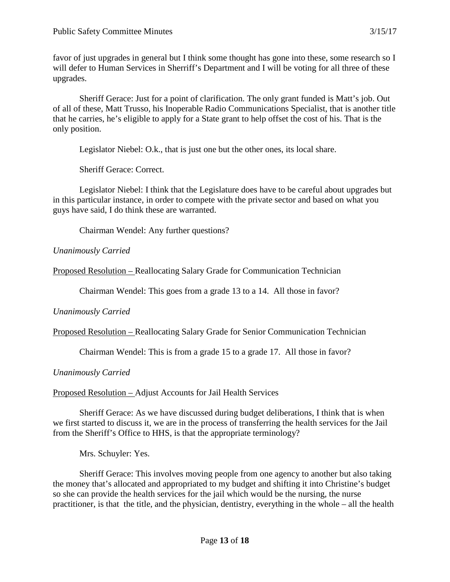favor of just upgrades in general but I think some thought has gone into these, some research so I will defer to Human Services in Sherriff's Department and I will be voting for all three of these upgrades.

Sheriff Gerace: Just for a point of clarification. The only grant funded is Matt's job. Out of all of these, Matt Trusso, his Inoperable Radio Communications Specialist, that is another title that he carries, he's eligible to apply for a State grant to help offset the cost of his. That is the only position.

Legislator Niebel: O.k., that is just one but the other ones, its local share.

Sheriff Gerace: Correct.

Legislator Niebel: I think that the Legislature does have to be careful about upgrades but in this particular instance, in order to compete with the private sector and based on what you guys have said, I do think these are warranted.

Chairman Wendel: Any further questions?

*Unanimously Carried*

Proposed Resolution – Reallocating Salary Grade for Communication Technician

Chairman Wendel: This goes from a grade 13 to a 14. All those in favor?

### *Unanimously Carried*

Proposed Resolution – Reallocating Salary Grade for Senior Communication Technician

Chairman Wendel: This is from a grade 15 to a grade 17. All those in favor?

### *Unanimously Carried*

Proposed Resolution – Adjust Accounts for Jail Health Services

Sheriff Gerace: As we have discussed during budget deliberations, I think that is when we first started to discuss it, we are in the process of transferring the health services for the Jail from the Sheriff's Office to HHS, is that the appropriate terminology?

Mrs. Schuyler: Yes.

Sheriff Gerace: This involves moving people from one agency to another but also taking the money that's allocated and appropriated to my budget and shifting it into Christine's budget so she can provide the health services for the jail which would be the nursing, the nurse practitioner, is that the title, and the physician, dentistry, everything in the whole – all the health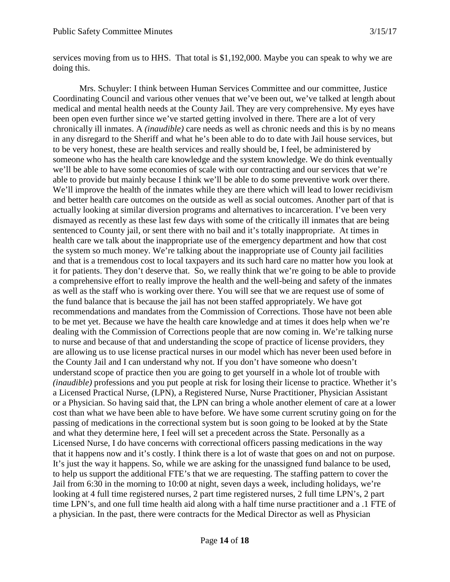services moving from us to HHS. That total is \$1,192,000. Maybe you can speak to why we are doing this.

Mrs. Schuyler: I think between Human Services Committee and our committee, Justice Coordinating Council and various other venues that we've been out, we've talked at length about medical and mental health needs at the County Jail. They are very comprehensive. My eyes have been open even further since we've started getting involved in there. There are a lot of very chronically ill inmates. A *(inaudible)* care needs as well as chronic needs and this is by no means in any disregard to the Sheriff and what he's been able to do to date with Jail house services, but to be very honest, these are health services and really should be, I feel, be administered by someone who has the health care knowledge and the system knowledge. We do think eventually we'll be able to have some economies of scale with our contracting and our services that we're able to provide but mainly because I think we'll be able to do some preventive work over there. We'll improve the health of the inmates while they are there which will lead to lower recidivism and better health care outcomes on the outside as well as social outcomes. Another part of that is actually looking at similar diversion programs and alternatives to incarceration. I've been very dismayed as recently as these last few days with some of the critically ill inmates that are being sentenced to County jail, or sent there with no bail and it's totally inappropriate. At times in health care we talk about the inappropriate use of the emergency department and how that cost the system so much money. We're talking about the inappropriate use of County jail facilities and that is a tremendous cost to local taxpayers and its such hard care no matter how you look at it for patients. They don't deserve that. So, we really think that we're going to be able to provide a comprehensive effort to really improve the health and the well-being and safety of the inmates as well as the staff who is working over there. You will see that we are request use of some of the fund balance that is because the jail has not been staffed appropriately. We have got recommendations and mandates from the Commission of Corrections. Those have not been able to be met yet. Because we have the health care knowledge and at times it does help when we're dealing with the Commission of Corrections people that are now coming in. We're talking nurse to nurse and because of that and understanding the scope of practice of license providers, they are allowing us to use license practical nurses in our model which has never been used before in the County Jail and I can understand why not. If you don't have someone who doesn't understand scope of practice then you are going to get yourself in a whole lot of trouble with *(inaudible)* professions and you put people at risk for losing their license to practice. Whether it's a Licensed Practical Nurse, (LPN), a Registered Nurse, Nurse Practitioner, Physician Assistant or a Physician. So having said that, the LPN can bring a whole another element of care at a lower cost than what we have been able to have before. We have some current scrutiny going on for the passing of medications in the correctional system but is soon going to be looked at by the State and what they determine here, I feel will set a precedent across the State. Personally as a Licensed Nurse, I do have concerns with correctional officers passing medications in the way that it happens now and it's costly. I think there is a lot of waste that goes on and not on purpose. It's just the way it happens. So, while we are asking for the unassigned fund balance to be used, to help us support the additional FTE's that we are requesting. The staffing pattern to cover the Jail from 6:30 in the morning to 10:00 at night, seven days a week, including holidays, we're looking at 4 full time registered nurses, 2 part time registered nurses, 2 full time LPN's, 2 part time LPN's, and one full time health aid along with a half time nurse practitioner and a .1 FTE of a physician. In the past, there were contracts for the Medical Director as well as Physician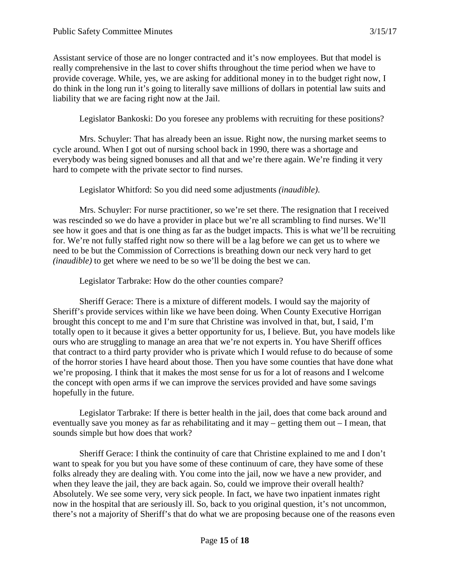Assistant service of those are no longer contracted and it's now employees. But that model is really comprehensive in the last to cover shifts throughout the time period when we have to provide coverage. While, yes, we are asking for additional money in to the budget right now, I do think in the long run it's going to literally save millions of dollars in potential law suits and liability that we are facing right now at the Jail.

Legislator Bankoski: Do you foresee any problems with recruiting for these positions?

Mrs. Schuyler: That has already been an issue. Right now, the nursing market seems to cycle around. When I got out of nursing school back in 1990, there was a shortage and everybody was being signed bonuses and all that and we're there again. We're finding it very hard to compete with the private sector to find nurses.

Legislator Whitford: So you did need some adjustments *(inaudible)*.

Mrs. Schuyler: For nurse practitioner, so we're set there. The resignation that I received was rescinded so we do have a provider in place but we're all scrambling to find nurses. We'll see how it goes and that is one thing as far as the budget impacts. This is what we'll be recruiting for. We're not fully staffed right now so there will be a lag before we can get us to where we need to be but the Commission of Corrections is breathing down our neck very hard to get *(inaudible)* to get where we need to be so we'll be doing the best we can.

Legislator Tarbrake: How do the other counties compare?

Sheriff Gerace: There is a mixture of different models. I would say the majority of Sheriff's provide services within like we have been doing. When County Executive Horrigan brought this concept to me and I'm sure that Christine was involved in that, but, I said, I'm totally open to it because it gives a better opportunity for us, I believe. But, you have models like ours who are struggling to manage an area that we're not experts in. You have Sheriff offices that contract to a third party provider who is private which I would refuse to do because of some of the horror stories I have heard about those. Then you have some counties that have done what we're proposing. I think that it makes the most sense for us for a lot of reasons and I welcome the concept with open arms if we can improve the services provided and have some savings hopefully in the future.

Legislator Tarbrake: If there is better health in the jail, does that come back around and eventually save you money as far as rehabilitating and it may – getting them out – I mean, that sounds simple but how does that work?

Sheriff Gerace: I think the continuity of care that Christine explained to me and I don't want to speak for you but you have some of these continuum of care, they have some of these folks already they are dealing with. You come into the jail, now we have a new provider, and when they leave the jail, they are back again. So, could we improve their overall health? Absolutely. We see some very, very sick people. In fact, we have two inpatient inmates right now in the hospital that are seriously ill. So, back to you original question, it's not uncommon, there's not a majority of Sheriff's that do what we are proposing because one of the reasons even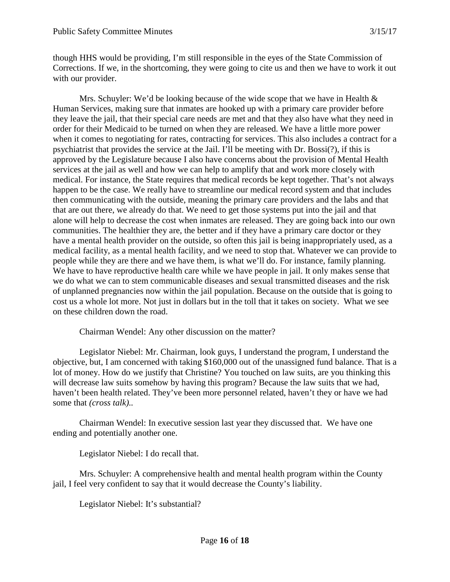though HHS would be providing, I'm still responsible in the eyes of the State Commission of Corrections. If we, in the shortcoming, they were going to cite us and then we have to work it out with our provider.

Mrs. Schuyler: We'd be looking because of the wide scope that we have in Health  $\&$ Human Services, making sure that inmates are hooked up with a primary care provider before they leave the jail, that their special care needs are met and that they also have what they need in order for their Medicaid to be turned on when they are released. We have a little more power when it comes to negotiating for rates, contracting for services. This also includes a contract for a psychiatrist that provides the service at the Jail. I'll be meeting with Dr. Bossi(?), if this is approved by the Legislature because I also have concerns about the provision of Mental Health services at the jail as well and how we can help to amplify that and work more closely with medical. For instance, the State requires that medical records be kept together. That's not always happen to be the case. We really have to streamline our medical record system and that includes then communicating with the outside, meaning the primary care providers and the labs and that that are out there, we already do that. We need to get those systems put into the jail and that alone will help to decrease the cost when inmates are released. They are going back into our own communities. The healthier they are, the better and if they have a primary care doctor or they have a mental health provider on the outside, so often this jail is being inappropriately used, as a medical facility, as a mental health facility, and we need to stop that. Whatever we can provide to people while they are there and we have them, is what we'll do. For instance, family planning. We have to have reproductive health care while we have people in jail. It only makes sense that we do what we can to stem communicable diseases and sexual transmitted diseases and the risk of unplanned pregnancies now within the jail population. Because on the outside that is going to cost us a whole lot more. Not just in dollars but in the toll that it takes on society. What we see on these children down the road.

Chairman Wendel: Any other discussion on the matter?

Legislator Niebel: Mr. Chairman, look guys, I understand the program, I understand the objective, but, I am concerned with taking \$160,000 out of the unassigned fund balance. That is a lot of money. How do we justify that Christine? You touched on law suits, are you thinking this will decrease law suits somehow by having this program? Because the law suits that we had, haven't been health related. They've been more personnel related, haven't they or have we had some that *(cross talk)..*

Chairman Wendel: In executive session last year they discussed that. We have one ending and potentially another one.

Legislator Niebel: I do recall that.

Mrs. Schuyler: A comprehensive health and mental health program within the County jail, I feel very confident to say that it would decrease the County's liability.

Legislator Niebel: It's substantial?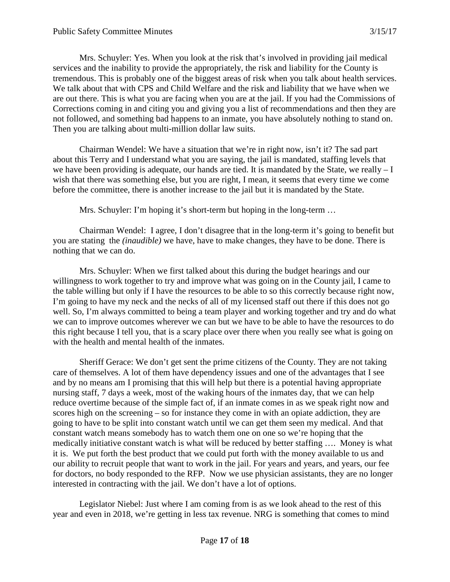Mrs. Schuyler: Yes. When you look at the risk that's involved in providing jail medical services and the inability to provide the appropriately, the risk and liability for the County is tremendous. This is probably one of the biggest areas of risk when you talk about health services. We talk about that with CPS and Child Welfare and the risk and liability that we have when we are out there. This is what you are facing when you are at the jail. If you had the Commissions of Corrections coming in and citing you and giving you a list of recommendations and then they are not followed, and something bad happens to an inmate, you have absolutely nothing to stand on. Then you are talking about multi-million dollar law suits.

Chairman Wendel: We have a situation that we're in right now, isn't it? The sad part about this Terry and I understand what you are saying, the jail is mandated, staffing levels that we have been providing is adequate, our hands are tied. It is mandated by the State, we really – I wish that there was something else, but you are right, I mean, it seems that every time we come before the committee, there is another increase to the jail but it is mandated by the State.

Mrs. Schuyler: I'm hoping it's short-term but hoping in the long-term ...

Chairman Wendel: I agree, I don't disagree that in the long-term it's going to benefit but you are stating the *(inaudible)* we have, have to make changes, they have to be done. There is nothing that we can do.

Mrs. Schuyler: When we first talked about this during the budget hearings and our willingness to work together to try and improve what was going on in the County jail, I came to the table willing but only if I have the resources to be able to so this correctly because right now, I'm going to have my neck and the necks of all of my licensed staff out there if this does not go well. So, I'm always committed to being a team player and working together and try and do what we can to improve outcomes wherever we can but we have to be able to have the resources to do this right because I tell you, that is a scary place over there when you really see what is going on with the health and mental health of the inmates.

Sheriff Gerace: We don't get sent the prime citizens of the County. They are not taking care of themselves. A lot of them have dependency issues and one of the advantages that I see and by no means am I promising that this will help but there is a potential having appropriate nursing staff, 7 days a week, most of the waking hours of the inmates day, that we can help reduce overtime because of the simple fact of, if an inmate comes in as we speak right now and scores high on the screening – so for instance they come in with an opiate addiction, they are going to have to be split into constant watch until we can get them seen my medical. And that constant watch means somebody has to watch them one on one so we're hoping that the medically initiative constant watch is what will be reduced by better staffing …. Money is what it is. We put forth the best product that we could put forth with the money available to us and our ability to recruit people that want to work in the jail. For years and years, and years, our fee for doctors, no body responded to the RFP. Now we use physician assistants, they are no longer interested in contracting with the jail. We don't have a lot of options.

Legislator Niebel: Just where I am coming from is as we look ahead to the rest of this year and even in 2018, we're getting in less tax revenue. NRG is something that comes to mind